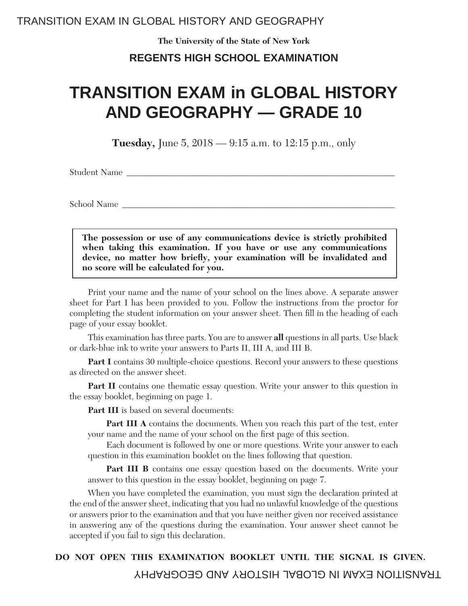## TRANSITION EXAM IN GLOBAL HISTORy ANd GEOGRAPHy

**The University of the State of New York** 

## **REGENTS HIGH SCHOOL EXAMINATION**

# **TRANSITION EXAM in GLOBAL HISTORY AND GEOGRAPHY — GRADE 10**

**Tuesday,** June 5, 2018 — 9:15 a.m. to 12:15 p.m., only

Student Name

School Name \_\_\_\_\_\_\_\_\_\_\_\_\_\_\_\_\_\_\_\_\_\_\_\_\_\_\_\_\_\_\_\_\_\_\_\_\_\_\_\_\_\_\_\_\_\_\_\_\_\_\_\_\_\_\_\_\_\_\_\_\_\_

**The possession or use of any communications device is strictly prohibited when taking this examination. If you have or use any communications device, no matter how briefly, your examination will be invalidated and no score will be calculated for you.** 

Print your name and the name of your school on the lines above. A separate answer sheet for Part I has been provided to you. Follow the instructions from the proctor for completing the student information on your answer sheet. Then fill in the heading of each page of your essay booklet.

This examination has three parts. You are to answer **all** questions in all parts. Use black or dark-blue ink to write your answers to Parts II, III A, and III B.

**Part I** contains 30 multiple-choice questions. Record your answers to these questions as directed on the answer sheet.

**Part II** contains one thematic essay question. Write your answer to this question in the essay booklet, beginning on page 1.

**Part III** is based on several documents:

**Part III A** contains the documents. When you reach this part of the test, enter your name and the name of your school on the first page of this section.

Each document is followed by one or more questions. Write your answer to each question in this examination booklet on the lines following that question.

**Part III B** contains one essay question based on the documents. Write your answer to this question in the essay booklet, beginning on page 7.

When you have completed the examination, you must sign the declaration printed at the end of the answer sheet, indicating that you had no unlawful knowledge of the questions or answers prior to the examination and that you have neither given nor received assistance in answering any of the questions during the examination. Your answer sheet cannot be accepted if you fail to sign this declaration.

 **DO NOT OPEN THIS EXAMINATION BOOKLET UNTIL THE SIGNAL IS GIVEN.**  TRANSITION EXAM IN GLOBAL HISTORy ANd GEOGRAPHy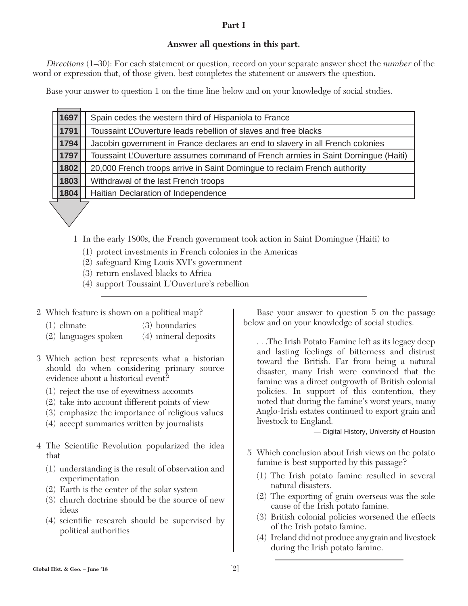## **Part I**

## **Answer all questions in this part.**

*Directions* (1–30): For each statement or question, record on your separate answer sheet the *number* of the word or expression that, of those given, best completes the statement or answers the question.

Base your answer to question 1 on the time line below and on your knowledge of social studies.

| 1697 | Spain cedes the western third of Hispaniola to France                            |
|------|----------------------------------------------------------------------------------|
| 1791 | Toussaint L'Ouverture leads rebellion of slaves and free blacks                  |
| 1794 | Jacobin government in France declares an end to slavery in all French colonies   |
| 1797 | Toussaint L'Ouverture assumes command of French armies in Saint Domingue (Haiti) |
| 1802 | 20,000 French troops arrive in Saint Domingue to reclaim French authority        |
| 1803 | Withdrawal of the last French troops                                             |
| 1804 | Haitian Declaration of Independence                                              |
|      |                                                                                  |

1 In the early 1800s, the French government took action in Saint Domingue (Haiti) to

- (1) protect investments in French colonies in the Americas
- (2) safeguard King Louis XVI's government
- (3) return enslaved blacks to Africa
- (4) support Toussaint L'Ouverture's rebellion
- 2 Which feature is shown on a political map?
	- $(1)$  climate  $(3)$  boundaries
	- (2) languages spoken (4) mineral deposits
- should do when considering primary source 3 Which action best represents what a historian evidence about a historical event?
	- (1) reject the use of eyewitness accounts
	- (2) take into account different points of view
	- (3) emphasize the importance of religious values
	- (4) accept summaries written by journalists
- 4 The Scientific Revolution popularized the idea that
	- (1) understanding is the result of observation and experimentation
	- (2) Earth is the center of the solar system
	- (3) church doctrine should be the source of new ideas
	- (4) scientific research should be supervised by political authorities

Base your answer to question 5 on the passage below and on your knowledge of social studies.

. . .The Irish Potato Famine left as its legacy deep and lasting feelings of bitterness and distrust toward the British. Far from being a natural disaster, many Irish were convinced that the famine was a direct outgrowth of British colonial policies. In support of this contention, they noted that during the famine's worst years, many Anglo-Irish estates continued to export grain and livestock to England.

 $-$  Digital History, University of Houston

- 5 Which conclusion about Irish views on the potato famine is best supported by this passage?
	- (1) The Irish potato famine resulted in several natural disasters.
	- (2) The exporting of grain overseas was the sole cause of the Irish potato famine.
	- (3) British colonial policies worsened the effects of the Irish potato famine.
	- (4) Ireland did not produce any grain and livestock during the Irish potato famine.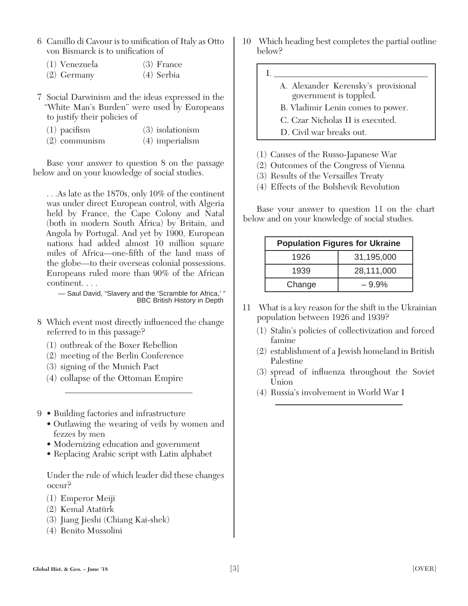- von Bismarck is to unification of
	- (1) Venezuela (3) France
	- (2) Germany (4) Serbia
- 7 Social Darwinism and the ideas expressed in the "White Man's Burden" were used by Europeans to justify their policies of
	- $(1)$  pacifism  $(3)$  isolationism
	- (2) communism (4) imperialism

Base your answer to question 8 on the passage below and on your knowledge of social studies.

 nations had added almost 10 million square . . .As late as the 1870s, only 10% of the continent was under direct European control, with Algeria held by France, the Cape Colony and Natal (both in modern South Africa) by Britain, and Angola by Portugal. And yet by 1900, European miles of Africa—one-fifth of the land mass of the globe—to their overseas colonial possessions. Europeans ruled more than 90% of the African continent. . . .

- Saul David, "Slavery and the 'Scramble for Africa,' " BBC British History in Depth

- 8 Which event most directly influenced the change referred to in this passage?
	- (1) outbreak of the Boxer Rebellion
	- (2) meeting of the Berlin Conference
	- (3) signing of the Munich Pact
	- (4) collapse of the Ottoman Empire
- 9 Building factories and infrastructure
- • Outlawing the wearing of veils by women and fezzes by men
- Modernizing education and government
- Replacing Arabic script with Latin alphabet

Under the rule of which leader did these changes occur?

- (1) Emperor Meiji
- (2) Kemal Atatürk
- (3) Jiang Jieshi (Chiang Kai-shek)
- (4) Benito Mussolini

6 Camillo di Cavour is to unification of Italy as Otto  $\parallel$  10 Which heading best completes the partial outline below?

I. \_\_\_\_\_\_\_\_\_\_\_\_\_\_\_\_\_\_\_\_\_\_\_\_\_\_\_\_\_\_\_\_\_\_\_

- A. Alexander Kerensky's provisional government is toppled.
- B. Vladimir Lenin comes to power.
- C. Czar Nicholas II is executed.
- D. Civil war breaks out.
- (1) Causes of the Russo-Japanese War
- (2) Outcomes of the Congress of Vienna
- (3) Results of the Versailles Treaty
- (4) Effects of the Bolshevik Revolution

Base your answer to question 11 on the chart below and on your knowledge of social studies.

| <b>Population Figures for Ukraine</b> |            |  |
|---------------------------------------|------------|--|
| 1926                                  | 31,195,000 |  |
| 1939                                  | 28,111,000 |  |
| Change                                | $-9.9%$    |  |

- 11 What is a key reason for the shift in the Ukrainian population between 1926 and 1939?
	- (1) Stalin's policies of collectivization and forced famine
	- (2) establishment of a Jewish homeland in British Palestine
	- (3) spread of influenza throughout the Soviet Union
	- (4) Russia's involvement in World War I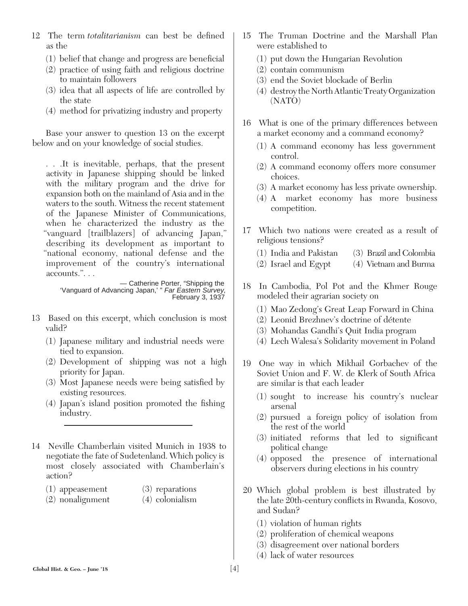- 12 The term *totalitarianism* can best be defined as the
	- (1) belief that change and progress are beneficial
	- (2) practice of using faith and religious doctrine to maintain followers
	- (3) idea that all aspects of life are controlled by the state
	- (4) method for privatizing industry and property

Base your answer to question 13 on the excerpt below and on your knowledge of social studies.

 with the military program and the drive for when he characterized the industry as the describing its development as important to "national economy, national defense and the . . .It is inevitable, perhaps, that the present activity in Japanese shipping should be linked expansion both on the mainland of Asia and in the waters to the south. Witness the recent statement of the Japanese Minister of Communications, "vanguard [trailblazers] of advancing Japan," improvement of the country's international accounts.". . .

— Catherine Porter, "Shipping the 'Vanguard of Advancing Japan,' " *Far Eastern Survey,*  February 3, 1937

- 13 Based on this excerpt, which conclusion is most valid?
	- (1) Japanese military and industrial needs were tied to expansion.
	- $(2)$  Development of shipping was not a high priority for Japan.
	- (3) Most Japanese needs were being satisfied by existing resources.
	- (4) Japan's island position promoted the fishing industry.
- most closely associated with Chamberlain's 14 Neville Chamberlain visited Munich in 1938 to negotiate the fate of Sudetenland. Which policy is action?
	- (1) appeasement (3) reparations
		-
	- (2) nonalignment (4) colonialism
- 15 The Truman Doctrine and the Marshall Plan were established to
	- (1) put down the Hungarian Revolution
	- (2) contain communism
	- (3) end the Soviet blockade of Berlin
	- (4) destroy the North Atlantic Treaty Organization (NATO)
- 16 What is one of the primary differences between a market economy and a command economy?
	- (1) A command economy has less government control.
	- (2) A command economy offers more consumer choices.
	- (3) A market economy has less private ownership.
	- (4) A market economy has more business competition.
- 17 Which two nations were created as a result of religious tensions?
	- (1) India and Pakistan (3) Brazil and Colombia
	- $(2)$  Israel and Egypt  $(4)$  Vietnam and Burma
- 18 In Cambodia, Pol Pot and the Khmer Rouge modeled their agrarian society on
	- (1) Mao Zedong's Great Leap Forward in China
	- (2) Leonid Brezhnev's doctrine of détente
	- (3) Mohandas Gandhi's Quit India program
	- (4) Lech Walesa's Solidarity movement in Poland
- 19 One way in which Mikhail Gorbachev of the Soviet Union and F. W. de Klerk of South Africa are similar is that each leader
	- (1) sought to increase his country's nuclear arsenal
	- (2) pursued a foreign policy of isolation from the rest of the world
	- (3) initiated reforms that led to significant political change
	- (4) opposed the presence of international observers during elections in his country
- 20 Which global problem is best illustrated by the late 20th-century conflicts in Rwanda, Kosovo, and Sudan?
	- (1) violation of human rights
	- (2) proliferation of chemical weapons
	- (3) disagreement over national borders
	- (4) lack of water resources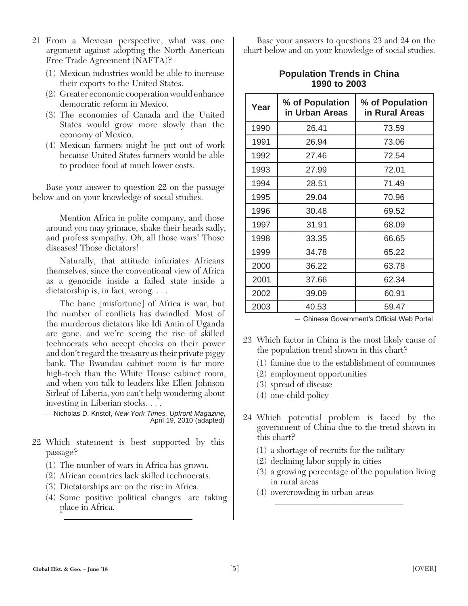- 21 From a Mexican perspective, what was one argument against adopting the North American Free Trade Agreement (NAFTA)?
	- (1) Mexican industries would be able to increase their exports to the United States.
	- (2) Greater economic cooperation would enhance democratic reform in Mexico.
	- States would grow more slowly than the (3) The economies of Canada and the United economy of Mexico.
	- (4) Mexican farmers might be put out of work because United States farmers would be able to produce food at much lower costs.

Base your answer to question 22 on the passage below and on your knowledge of social studies.

Mention Africa in polite company, and those around you may grimace, shake their heads sadly, and profess sympathy. Oh, all those wars! Those diseases! Those dictators!

Naturally, that attitude infuriates Africans themselves, since the conventional view of Africa as a genocide inside a failed state inside a dictatorship is, in fact, wrong. . . .

The bane [misfortune] of Africa is war, but the number of conflicts has dwindled. Most of the murderous dictators like Idi Amin of Uganda are gone, and we're seeing the rise of skilled technocrats who accept checks on their power and don't regard the treasury as their private piggy bank. The Rwandan cabinet room is far more high-tech than the White House cabinet room, and when you talk to leaders like Ellen Johnson Sirleaf of Liberia, you can't help wondering about investing in Liberian stocks. . . .

— Nicholas d. Kristof, *New York Times, Upfront Magazine,*  April 19, 2010 (adapted)

- 22 Which statement is best supported by this passage?
	- (1) The number of wars in Africa has grown.
	- (2) African countries lack skilled technocrats.
	- (3) Dictatorships are on the rise in Africa.
	- (4) Some positive political changes are taking place in Africa.

Base your answers to questions 23 and 24 on the chart below and on your knowledge of social studies.

## **Population Trends in China 1990 to 2003**

| Year | % of Population<br>in Urban Areas | % of Population<br>in Rural Areas |
|------|-----------------------------------|-----------------------------------|
| 1990 | 26.41                             | 73.59                             |
| 1991 | 26.94                             | 73.06                             |
| 1992 | 27.46                             | 72.54                             |
| 1993 | 27.99                             | 72.01                             |
| 1994 | 28.51                             | 71.49                             |
| 1995 | 29.04                             | 70.96                             |
| 1996 | 30.48                             | 69.52                             |
| 1997 | 31.91                             | 68.09                             |
| 1998 | 33.35                             | 66.65                             |
| 1999 | 34.78                             | 65.22                             |
| 2000 | 36.22                             | 63.78                             |
| 2001 | 37.66                             | 62.34                             |
| 2002 | 39.09                             | 60.91                             |
| 2003 | 40.53                             | 59.47                             |

— Chinese Government's Official Web Portal

- 23 Which factor in China is the most likely cause of the population trend shown in this chart?
	- (1) famine due to the establishment of communes
	- (2) employment opportunities
	- (3) spread of disease
	- (4) one-child policy
- 24 Which potential problem is faced by the government of China due to the trend shown in this chart?
	- (1) a shortage of recruits for the military
	- (2) declining labor supply in cities
	- (3) a growing percentage of the population living in rural areas
	- (4) overcrowding in urban areas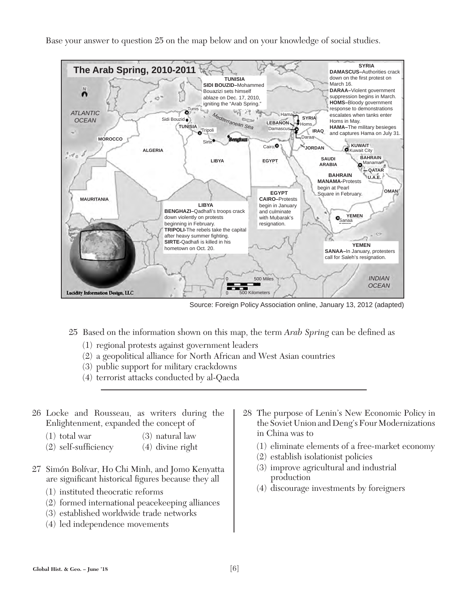Base your answer to question 25 on the map below and on your knowledge of social studies.



Source: Foreign Policy Association online, January 13, 2012 (adapted)

- 25 Based on the information shown on this map, the term *Arab Spring* can be defined as
	- (1) regional protests against government leaders
	- (2) a geopolitical alliance for North African and West Asian countries
	- (3) public support for military crackdowns
	- (4) terrorist attacks conducted by al-Qaeda
- 26 Locke and Rousseau, as writers during the Enlightenment, expanded the concept of
	- $(1)$  total war  $(3)$  natural law
	- (2) self-sufficiency (4) divine right
- 27 Simón Bolívar, Ho Chi Minh, and Jomo Kenyatta are significant historical figures because they all
	- (1) instituted theocratic reforms
	- (2) formed international peacekeeping alliances
	- (3) established worldwide trade networks
	- (4) led independence movements
- 28 The purpose of Lenin's New Economic Policy in the Soviet Union and Deng's Four Modernizations in China was to
	- (1) eliminate elements of a free-market economy
	- (2) establish isolationist policies
	- (3) improve agricultural and industrial production
	- (4) discourage investments by foreigners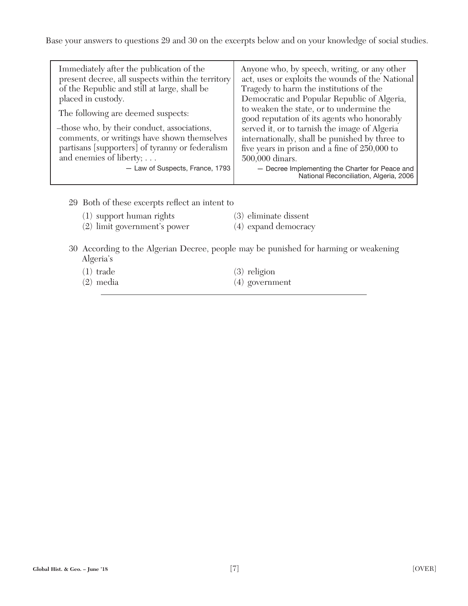Base your answers to questions 29 and 30 on the excerpts below and on your knowledge of social studies.

| Immediately after the publication of the<br>present decree, all suspects within the territory<br>of the Republic and still at large, shall be<br>placed in custody.<br>The following are deemed suspects:<br>-those who, by their conduct, associations,<br>comments, or writings have shown themselves<br>partisans [supporters] of tyranny or federalism | Anyone who, by speech, writing, or any other<br>act, uses or exploits the wounds of the National<br>Tragedy to harm the institutions of the<br>Democratic and Popular Republic of Algeria,<br>to weaken the state, or to undermine the<br>good reputation of its agents who honorably<br>served it, or to tarnish the image of Algeria<br>internationally, shall be punished by three to<br>five years in prison and a fine of 250,000 to |
|------------------------------------------------------------------------------------------------------------------------------------------------------------------------------------------------------------------------------------------------------------------------------------------------------------------------------------------------------------|-------------------------------------------------------------------------------------------------------------------------------------------------------------------------------------------------------------------------------------------------------------------------------------------------------------------------------------------------------------------------------------------------------------------------------------------|
| and enemies of liberty;                                                                                                                                                                                                                                                                                                                                    | 500,000 dinars.                                                                                                                                                                                                                                                                                                                                                                                                                           |
| - Law of Suspects, France, 1793                                                                                                                                                                                                                                                                                                                            | - Decree Implementing the Charter for Peace and<br>National Reconciliation, Algeria, 2006                                                                                                                                                                                                                                                                                                                                                 |

29 Both of these excerpts reflect an intent to

| $(1)$ support human rights     | $(3)$ eliminate dissent |
|--------------------------------|-------------------------|
| $(2)$ limit government's power | (4) expand democracy    |

30 According to the Algerian Decree, people may be punished for harming or weakening Algeria's

| $(1)$ trade | $(3)$ religion |
|-------------|----------------|
|-------------|----------------|

 $(2)$  media (4) government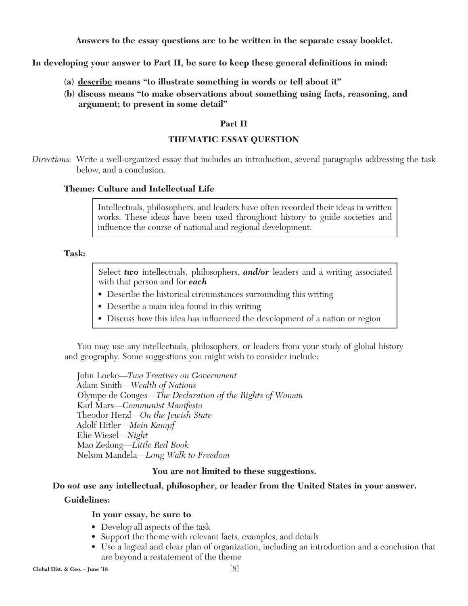**Answers to the essay questions are to be written in the separate essay booklet.** 

**In developing your answer to Part II, be sure to keep these general definitions in mind:** 

- **(a) describe means "to illustrate something in words or tell about it"**
- **(b) discuss means "to make observations about something using facts, reasoning, and argument; to present in some detail"**

## **Part II**

## **THEMATIC ESSAY QUESTION**

*Directions:* Write a well-organized essay that includes an introduction, several paragraphs addressing the task below, and a conclusion.

## **Theme: Culture and Intellectual Life**

Intellectuals, philosophers, and leaders have often recorded their ideas in written works. These ideas have been used throughout history to guide societies and influence the course of national and regional development.

#### **Task:**

Select *two* intellectuals, philosophers, *and/or* leaders and a writing associated with that person and for *each* 

- Describe the historical circumstances surrounding this writing
- Describe a main idea found in this writing
- Discuss how this idea has influenced the development of a nation or region

You may use any intellectuals, philosophers, or leaders from your study of global history and geography. Some suggestions you might wish to consider include:

John Locke—*Two Treatises on Government*  Adam Smith—*Wealth of Nations*  Olympe de Gouges—*The Declaration of the Rights of Woman*  Karl Marx—*Communist Manifesto*  Theodor Herzl—*On the Jewish State*  Adolf Hitler—*Mein Kampf*  Elie Wiesel—*Night*  Mao Zedong—*Little Red Book*  Nelson Mandela—*Long Walk to Freedom* 

#### **You are** *no***t limited to these suggestions.**

## **Do** *not* **use any intellectual, philosopher, or leader from the United States in your answer.**

#### **Guidelines:**

#### **In your essay, be sure to**

- Develop all aspects of the task
- Support the theme with relevant facts, examples, and details
- • Use a logical and clear plan of organization, including an introduction and a conclusion that are beyond a restatement of the theme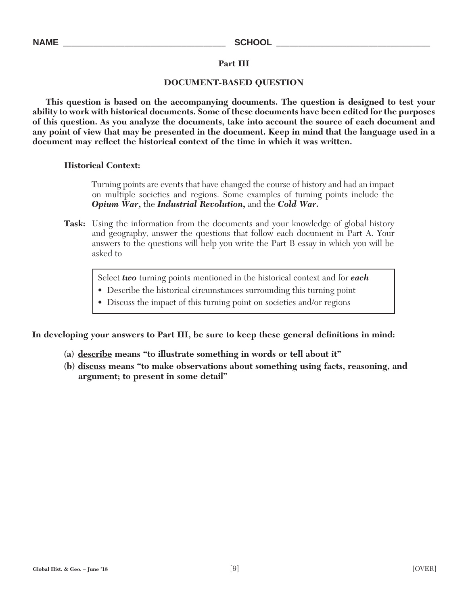## **Part III**

## **DOCUMENT-BASED QUESTION**

**This question is based on the accompanying documents. The question is designed to test your ability to work with historical documents. Some of these documents have been edited for the purposes of this question. As you analyze the documents, take into account the source of each document and any point of view that may be presented in the document. Keep in mind that the language used in a document may reflect the historical context of the time in which it was written.** 

## **Historical Context:**

Turning points are events that have changed the course of history and had an impact on multiple societies and regions. Some examples of turning points include the *Opium War,* the *Industrial Revolution,* and the *Cold War.* 

**Task:** Using the information from the documents and your knowledge of global history and geography, answer the questions that follow each document in Part A. Your answers to the questions will help you write the Part B essay in which you will be asked to

Select *two* turning points mentioned in the historical context and for *each* 

- Describe the historical circumstances surrounding this turning point
- Discuss the impact of this turning point on societies and/or regions

## **In developing your answers to Part III, be sure to keep these general definitions in mind:**

- **(a) describe means "to illustrate something in words or tell about it"**
- **(b) discuss means "to make observations about something using facts, reasoning, and argument; to present in some detail"**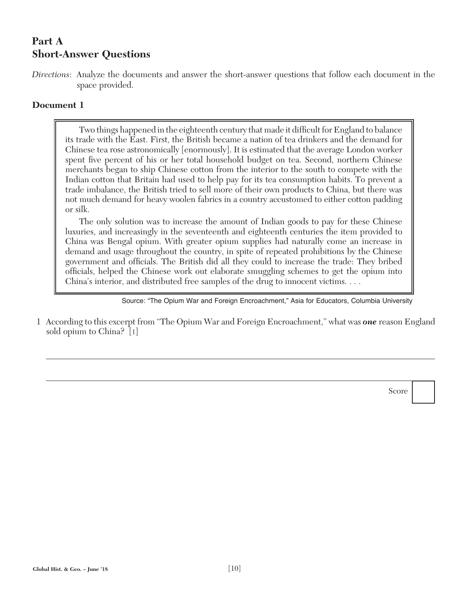## **Part A Short-Answer Questions**

*Directions*: Analyze the documents and answer the short-answer questions that follow each document in the space provided.

## **Document 1**

Two things happened in the eighteenth century that made it difficult for England to balance its trade with the East. First, the British became a nation of tea drinkers and the demand for Chinese tea rose astronomically [enormously]. It is estimated that the average London worker spent five percent of his or her total household budget on tea. Second, northern Chinese merchants began to ship Chinese cotton from the interior to the south to compete with the Indian cotton that Britain had used to help pay for its tea consumption habits. To prevent a trade imbalance, the British tried to sell more of their own products to China, but there was not much demand for heavy woolen fabrics in a country accustomed to either cotton padding or silk.

The only solution was to increase the amount of Indian goods to pay for these Chinese luxuries, and increasingly in the seventeenth and eighteenth centuries the item provided to China was Bengal opium. With greater opium supplies had naturally come an increase in demand and usage throughout the country, in spite of repeated prohibitions by the Chinese government and officials. The British did all they could to increase the trade: They bribed officials, helped the Chinese work out elaborate smuggling schemes to get the opium into China's interior, and distributed free samples of the drug to innocent victims. . . .

Source: "The Opium War and Foreign Encroachment," Asia for Educators, Columbia University

1 According to this excerpt from "The Opium War and Foreign Encroachment," what was *one* reason England sold opium to China? [1]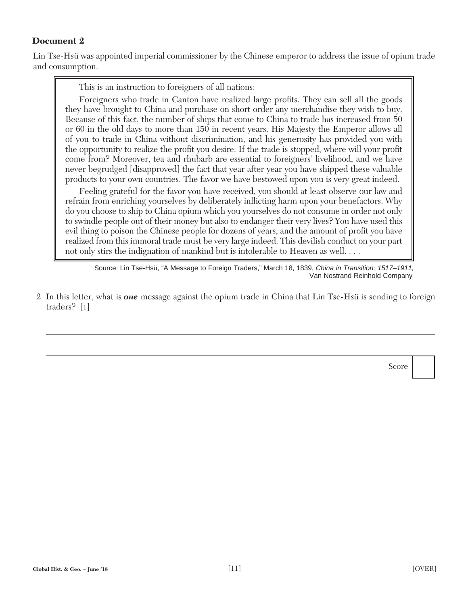## **Document 2**

Lin Tse-Hsü was appointed imperial commissioner by the Chinese emperor to address the issue of opium trade and consumption.

This is an instruction to foreigners of all nations:

Foreigners who trade in Canton have realized large profits. They can sell all the goods they have brought to China and purchase on short order any merchandise they wish to buy. Because of this fact, the number of ships that come to China to trade has increased from 50 or 60 in the old days to more than 150 in recent years. His Majesty the Emperor allows all of you to trade in China without discrimination, and his generosity has provided you with the opportunity to realize the profit you desire. If the trade is stopped, where will your profit come from? Moreover, tea and rhubarb are essential to foreigners' livelihood, and we have never begrudged [disapproved] the fact that year after year you have shipped these valuable products to your own countries. The favor we have bestowed upon you is very great indeed.

Feeling grateful for the favor you have received, you should at least observe our law and refrain from enriching yourselves by deliberately inflicting harm upon your benefactors. Why do you choose to ship to China opium which you yourselves do not consume in order not only to swindle people out of their money but also to endanger their very lives? You have used this evil thing to poison the Chinese people for dozens of years, and the amount of profit you have realized from this immoral trade must be very large indeed. This devilish conduct on your part not only stirs the indignation of mankind but is intolerable to Heaven as well.  $\dots$ 

Source: Lin Tse-Hsü, "A Message to Foreign Traders," March 18, 1839, *China in Transition: 1517–1911,*  Van Nostrand Reinhold Company

2 In this letter, what is *one* message against the opium trade in China that Lin Tse-Hsü is sending to foreign traders? [1]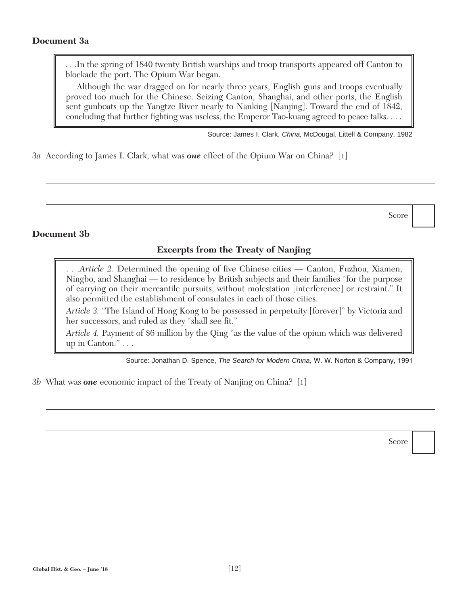. . .In the spring of 1840 twenty British warships and troop transports appeared off Canton to blockade the port. The Opium War began.

Although the war dragged on for nearly three years, English guns and troops eventually proved too much for the Chinese. Seizing Canton, Shanghai, and other ports, the English sent gunboats up the Yangtze River nearly to Nanking [Nanjing]. Toward the end of 1842, concluding that further fighting was useless, the Emperor Tao-kuang agreed to peace talks. . . .

Source: James I. Clark, *China, McDougal, Littell & Company, 1982* 

3*a* According to James I. Clark, what was *one* effect of the Opium War on China? [1]

Score

## **Document 3b**

## **Excerpts from the Treaty of Nanjing**

. . .*Article 2.* Determined the opening of five Chinese cities — Canton, Fuzhou, Xiamen, Ningbo, and Shanghai — to residence by British subjects and their families "for the purpose of carrying on their mercantile pursuits, without molestation [interference] or restraint." It also permitted the establishment of consulates in each of those cities.

*Article 3.* "The Island of Hong Kong to be possessed in perpetuity [forever]" by Victoria and her successors, and ruled as they "shall see fit."

*Article 4.* Payment of \$6 million by the Qing "as the value of the opium which was delivered up in Canton." . . .

Source: Jonathan D. Spence, *The Search for Modern China*, W. W. Norton & Company, 1991

3*b* What was *one* economic impact of the Treaty of Nanjing on China? [1]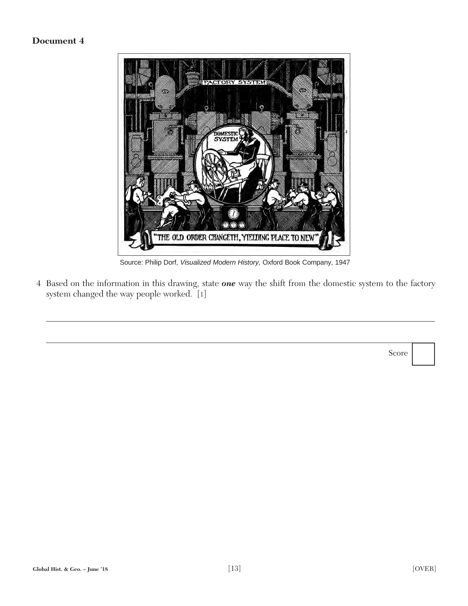## **Document 4**



Source: Philip Dorf, *Visualized Modern History, Oxford Book Company*, 1947

4 Based on the information in this drawing, state *one* way the shift from the domestic system to the factory system changed the way people worked. [1]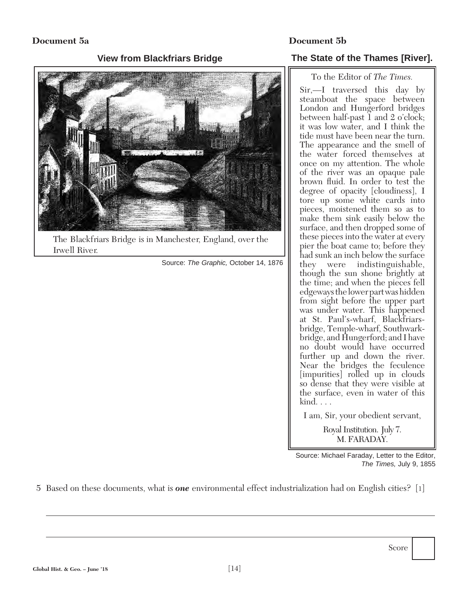## **Document 5a** Document 5b



The Blackfriars Bridge is in Manchester, England, over the Irwell River.

Source: *The Graphic,* October 14, 1876

## **View from Blackfriars Bridge The State of the Thames [River].**

To the Editor of *The Times.* 

 steamboat the space between the water forced themselves at tore up some white cards into at St. Paul's-wharf, Blackfriars- no doubt would have occurred Sir,—I traversed this day by London and Hungerford bridges between half-past 1 and 2 o'clock; it was low water, and I think the tide must have been near the turn. The appearance and the smell of once on my attention. The whole of the river was an opaque pale brown fluid. In order to test the degree of opacity [cloudiness], I pieces, moistened them so as to make them sink easily below the surface, and then dropped some of these pieces into the water at every pier the boat came to; before they had sunk an inch below the surface they were indistinguishable, though the sun shone brightly at the time; and when the pieces fell edgeways the lower part was hidden from sight before the upper part was under water. This happened bridge, Temple-wharf, Southwarkbridge, and Hungerford; and I have further up and down the river. Near the bridges the feculence [impurities] rolled up in clouds so dense that they were visible at the surface, even in water of this kind. . . .

I am, Sir, your obedient servant,

Royal Institution. July 7. M. FARADAY.

Source: Michael Faraday, Letter to the Editor, *The Times,* July 9, 1855

5 Based on these documents, what is *one* environmental effect industrialization had on English cities? [1]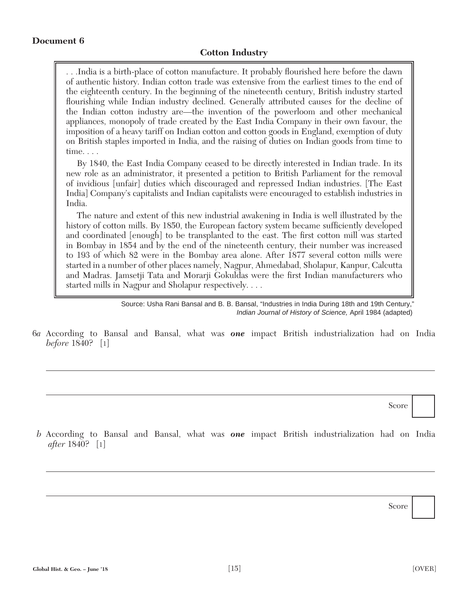. . .India is a birth-place of cotton manufacture. It probably flourished here before the dawn of authentic history. Indian cotton trade was extensive from the earliest times to the end of the eighteenth century. In the beginning of the nineteenth century, British industry started flourishing while Indian industry declined. Generally attributed causes for the decline of the Indian cotton industry are—the invention of the powerloom and other mechanical appliances, monopoly of trade created by the East India Company in their own favour, the imposition of a heavy tariff on Indian cotton and cotton goods in England, exemption of duty on British staples imported in India, and the raising of duties on Indian goods from time to time. . . .

By 1840, the East India Company ceased to be directly interested in Indian trade. In its new role as an administrator, it presented a petition to British Parliament for the removal of invidious [unfair] duties which discouraged and repressed Indian industries. [The East India] Company's capitalists and Indian capitalists were encouraged to establish industries in India.

The nature and extent of this new industrial awakening in India is well illustrated by the history of cotton mills. By 1850, the European factory system became sufficiently developed and coordinated [enough] to be transplanted to the east. The first cotton mill was started in Bombay in 1854 and by the end of the nineteenth century, their number was increased to 193 of which 82 were in the Bombay area alone. After 1877 several cotton mills were started in a number of other places namely, Nagpur, Ahmedabad, Sholapur, Kanpur, Calcutta and Madras. Jamsetji Tata and Morarji Gokuldas were the first Indian manufacturers who started mills in Nagpur and Sholapur respectively. . . .

> Source: Usha Rani Bansal and B. B. Bansal, "Industries in India During 18th and 19th Century," *Indian Journal of History of Science,* April 1984 (adapted)

 *before* 1840? [1] 6*a* According to Bansal and Bansal, what was *one* impact British industrialization had on India

Score

 *after* 1840? [1] *b* According to Bansal and Bansal, what was *one* impact British industrialization had on India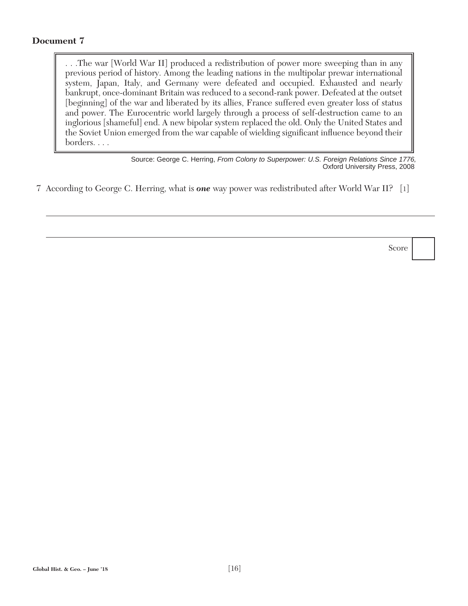## **Document 7**

. . .The war [World War II] produced a redistribution of power more sweeping than in any previous period of history. Among the leading nations in the multipolar prewar international system, Japan, Italy, and Germany were defeated and occupied. Exhausted and nearly bankrupt, once-dominant Britain was reduced to a second-rank power. Defeated at the outset [beginning] of the war and liberated by its allies, France suffered even greater loss of status and power. The Eurocentric world largely through a process of self-destruction came to an inglorious [shameful] end. A new bipolar system replaced the old. Only the United States and the Soviet Union emerged from the war capable of wielding significant influence beyond their borders. . . .

> Source: George C. Herring, *From Colony to Superpower: U.S. Foreign Relations Since 1776,*  Oxford University Press, 2008

7 According to George C. Herring, what is *one* way power was redistributed after World War II? [1]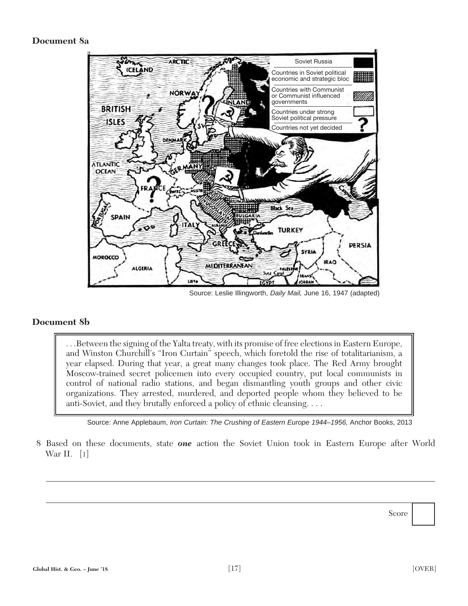## **Document 8a**



Source: Leslie Illingworth, *Daily Mail,* June 16, 1947 (adapted)

## **Document 8b**

. . .Between the signing of the Yalta treaty, with its promise of free elections in Eastern Europe, and Winston Churchill's "Iron Curtain" speech, which foretold the rise of totalitarianism, a year elapsed. During that year, a great many changes took place. The Red Army brought Moscow-trained secret policemen into every occupied country, put local communists in control of national radio stations, and began dismantling youth groups and other civic organizations. They arrested, murdered, and deported people whom they believed to be anti-Soviet, and they brutally enforced a policy of ethnic cleansing. . . .

Source: Anne Applebaum, *Iron Curtain: The Crushing of Eastern Europe 1944–1956,* Anchor Books, 2013

 War II. [1] 8 Based on these documents, state *one* action the Soviet Union took in Eastern Europe after World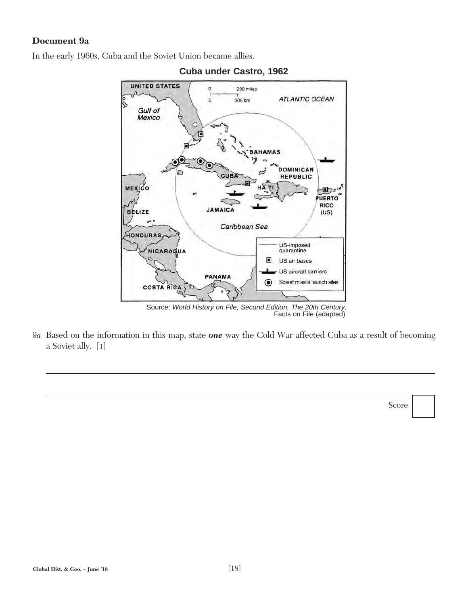## **Document 9a**

In the early 1960s, Cuba and the Soviet Union became allies.



## **Cuba under Castro, 1962**

9*a* Based on the information in this map, state *one* way the Cold War affected Cuba as a result of becoming a Soviet ally. [1]

Facts on File (adapted)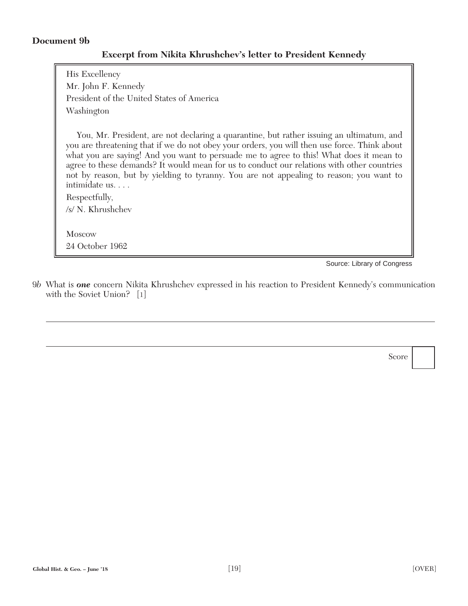## **Document 9b**

## **Excerpt from Nikita Khrushchev's letter to President Kennedy**

 /s/ N. Khrushchev His Excellency Mr. John F. Kennedy President of the United States of America Washington You, Mr. President, are not declaring a quarantine, but rather issuing an ultimatum, and you are threatening that if we do not obey your orders, you will then use force. Think about what you are saying! And you want to persuade me to agree to this! What does it mean to agree to these demands? It would mean for us to conduct our relations with other countries not by reason, but by yielding to tyranny. You are not appealing to reason; you want to intimidate us. . . . Respectfully, Moscow 24 October 1962

Source: Library of Congress

 with the Soviet Union? [1] 9*b* What is **one** concern Nikita Khrushchev expressed in his reaction to President Kennedy's communication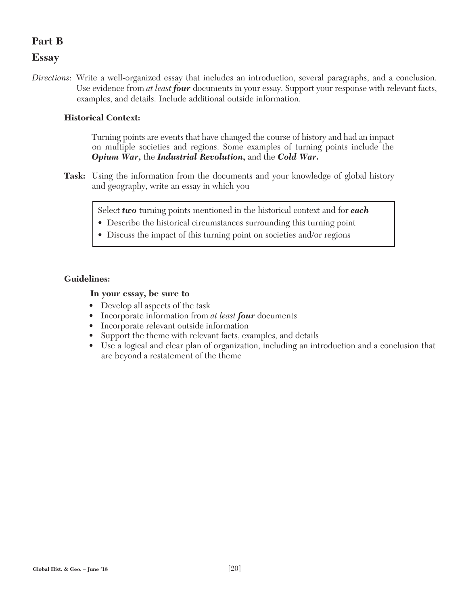## **Part B**

## **Essay**

*Directions*: Write a well-organized essay that includes an introduction, several paragraphs, and a conclusion. Use evidence from *at least four* documents in your essay. Support your response with relevant facts, examples, and details. Include additional outside information.

## **Historical Context:**

Turning points are events that have changed the course of history and had an impact on multiple societies and regions. Some examples of turning points include the *Opium War,* the *Industrial Revolution,* and the *Cold War.* 

Task: Using the information from the documents and your knowledge of global history and geography, write an essay in which you

Select *two* turning points mentioned in the historical context and for *each* 

- Describe the historical circumstances surrounding this turning point
- Discuss the impact of this turning point on societies and/or regions

## **Guidelines:**

## **In your essay, be sure to**

- Develop all aspects of the task
- Incorporate information from *at least four* documents
- Incorporate relevant outside information
- Support the theme with relevant facts, examples, and details
- • Use a logical and clear plan of organization, including an introduction and a conclusion that are beyond a restatement of the theme